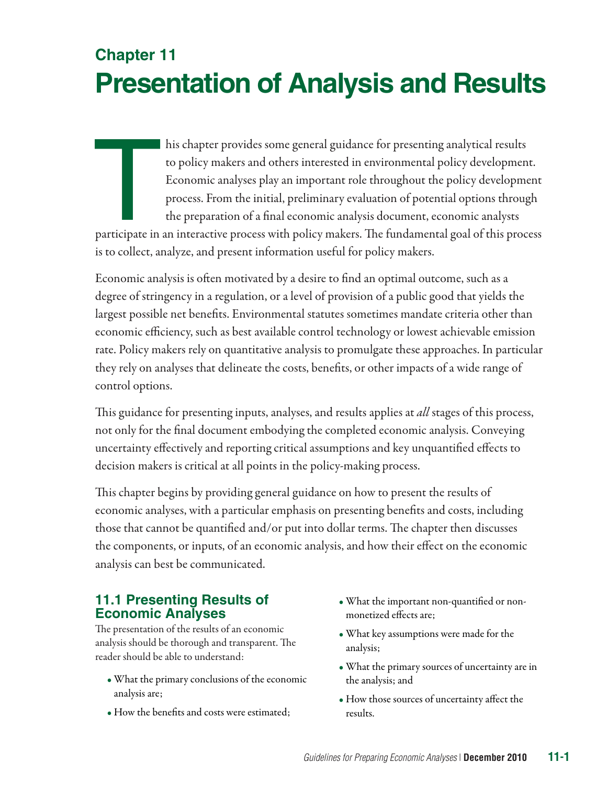# **Chapter 11 Presentation of Analysis and Results**

his chapter provides some general guidance for presenting analytical results<br>to policy makers and others interested in environmental policy development.<br>Economic analyses play an important role throughout the policy develo to policy makers and others interested in environmental policy development. Economic analyses play an important role throughout the policy development process. From the initial, preliminary evaluation of potential options through the preparation of a final economic analysis document, economic analysts

is to collect, analyze, and present information useful for policy makers.

Economic analysis is often motivated by a desire to find an optimal outcome, such as a degree of stringency in a regulation, or a level of provision of a public good that yields the largest possible net benefits. Environmental statutes sometimes mandate criteria other than economic efficiency, such as best available control technology or lowest achievable emission rate. Policy makers rely on quantitative analysis to promulgate these approaches. In particular they rely on analyses that delineate the costs, benefits, or other impacts of a wide range of control options.

This guidance for presenting inputs, analyses, and results applies at *all* stages of this process, not only for the final document embodying the completed economic analysis. Conveying uncertainty effectively and reporting critical assumptions and key unquantified effects to decision makers is critical at all points in the policy-making process.

This chapter begins by providing general guidance on how to present the results of economic analyses, with a particular emphasis on presenting benefits and costs, including those that cannot be quantified and/or put into dollar terms. The chapter then discusses the components, or inputs, of an economic analysis, and how their effect on the economic analysis can best be communicated.

## **11.1 Presenting Results of Economic Analyses**

The presentation of the results of an economic analysis should be thorough and transparent. The reader should be able to understand:

- What the primary conclusions of the economic analysis are;
- How the benefits and costs were estimated;
- What the important non-quantified or nonmonetized effects are;
- What key assumptions were made for the analysis;
- What the primary sources of uncertainty are in the analysis; and
- How those sources of uncertainty affect the results.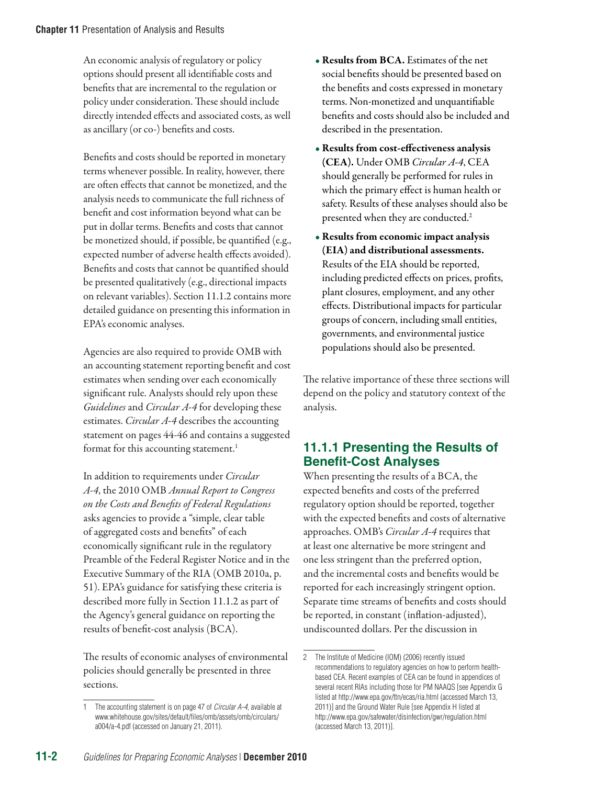An economic analysis of regulatory or policy options should present all identifiable costs and benefits that are incremental to the regulation or policy under consideration. These should include directly intended effects and associated costs, as well as ancillary (or co-) benefits and costs.

Benefits and costs should be reported in monetary terms whenever possible. In reality, however, there are often effects that cannot be monetized, and the analysis needs to communicate the full richness of benefit and cost information beyond what can be put in dollar terms. Benefits and costs that cannot be monetized should, if possible, be quantified (e.g., expected number of adverse health effects avoided). Benefits and costs that cannot be quantified should be presented qualitatively (e.g., directional impacts on relevant variables). Section 11.1.2 contains more detailed guidance on presenting this information in EPA's economic analyses.

Agencies are also required to provide OMB with an accounting statement reporting benefit and cost estimates when sending over each economically significant rule. Analysts should rely upon these *Guidelines* and *Circular A-4* for developing these estimates. *Circular A-4* describes the accounting statement on pages 44-46 and contains a suggested format for this accounting statement.<sup>1</sup>

In addition to requirements under *Circular A-4*, the 2010 OMB *Annual Report to Congress on the Costs and Benefits of Federal Regulations* asks agencies to provide a "simple, clear table of aggregated costs and benefits" of each economically significant rule in the regulatory Preamble of the Federal Register Notice and in the Executive Summary of the RIA (OMB 2010a, p. 51). EPA's guidance for satisfying these criteria is described more fully in Section 11.1.2 as part of the Agency's general guidance on reporting the results of benefit-cost analysis (BCA).

The results of economic analyses of environmental policies should generally be presented in three sections.

- Results from BCA. Estimates of the net social benefits should be presented based on the benefits and costs expressed in monetary terms. Non-monetized and unquantifiable benefits and costs should also be included and described in the presentation.
- Results from cost-effectiveness analysis (CEA). Under OMB *Circular A-4*, CEA should generally be performed for rules in which the primary effect is human health or safety. Results of these analyses should also be presented when they are conducted.<sup>2</sup>
- Results from economic impact analysis (EIA) and distributional assessments. Results of the EIA should be reported, including predicted effects on prices, profits, plant closures, employment, and any other effects. Distributional impacts for particular groups of concern, including small entities, governments, and environmental justice populations should also be presented.

The relative importance of these three sections will depend on the policy and statutory context of the analysis.

## **11.1.1 Presenting the Results of Benefit-Cost Analyses**

When presenting the results of a BCA, the expected benefits and costs of the preferred regulatory option should be reported, together with the expected benefits and costs of alternative approaches. OMB's *Circular A-4* requires that at least one alternative be more stringent and one less stringent than the preferred option, and the incremental costs and benefits would be reported for each increasingly stringent option. Separate time streams of benefits and costs should be reported, in constant (inflation-adjusted), undiscounted dollars. Per the discussion in

<sup>1</sup> The accounting statement is on page 47 of *Circular A-4*, available at [www.whitehouse.gov/sites/default/files/omb/assets/omb/circulars/](http://www.whitehouse.gov/sites/default/files/omb/assets/omb/circulars/a004/a-4.pdf) [a004/a-4.pdf](http://www.whitehouse.gov/sites/default/files/omb/assets/omb/circulars/a004/a-4.pdf) (accessed on January 21, 2011).

<sup>2</sup> The Institute of Medicine (IOM) (2006) recently issued recommendations to regulatory agencies on how to perform healthbased CEA. Recent examples of CEA can be found in appendices of several recent RIAs including those for PM NAAQS [see Appendix G listed at <http://www.epa.gov/ttn/ecas/ria.html>(accessed March 13, 2011)] and the Ground Water Rule [see Appendix H listed at http://www.epa.gov/safewater/disinfection/gwr/regulation.html (accessed March 13, 2011)].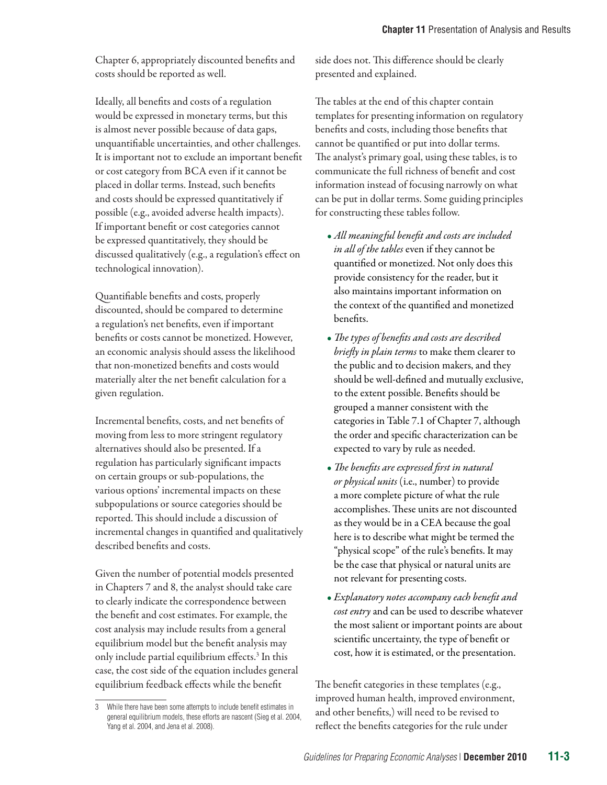Chapter 6, appropriately discounted benefits and costs should be reported as well.

Ideally, all benefits and costs of a regulation would be expressed in monetary terms, but this is almost never possible because of data gaps, unquantifiable uncertainties, and other challenges. It is important not to exclude an important benefit or cost category from BCA even if it cannot be placed in dollar terms. Instead, such benefits and costs should be expressed quantitatively if possible (e.g., avoided adverse health impacts). If important benefit or cost categories cannot be expressed quantitatively, they should be discussed qualitatively (e.g., a regulation's effect on technological innovation).

Quantifiable benefits and costs, properly discounted, should be compared to determine a regulation's net benefits, even if important benefits or costs cannot be monetized. However, an economic analysis should assess the likelihood that non-monetized benefits and costs would materially alter the net benefit calculation for a given regulation.

Incremental benefits, costs, and net benefits of moving from less to more stringent regulatory alternatives should also be presented. If a regulation has particularly significant impacts on certain groups or sub-populations, the various options' incremental impacts on these subpopulations or source categories should be reported. This should include a discussion of incremental changes in quantified and qualitatively described benefits and costs.

Given the number of potential models presented in Chapters 7 and 8, the analyst should take care to clearly indicate the correspondence between the benefit and cost estimates. For example, the cost analysis may include results from a general equilibrium model but the benefit analysis may only include partial equilibrium effects.<sup>3</sup> In this case, the cost side of the equation includes general equilibrium feedback effects while the benefit

side does not. This difference should be clearly presented and explained.

The tables at the end of this chapter contain templates for presenting information on regulatory benefits and costs, including those benefits that cannot be quantified or put into dollar terms. The analyst's primary goal, using these tables, is to communicate the full richness of benefit and cost information instead of focusing narrowly on what can be put in dollar terms. Some guiding principles for constructing these tables follow.

- *All meaningful benefit and costs are included in all of the tables* even if they cannot be quantified or monetized. Not only does this provide consistency for the reader, but it also maintains important information on the context of the quantified and monetized benefits.
- *The types of benefits and costs are described briefly in plain terms* to make them clearer to the public and to decision makers, and they should be well-defined and mutually exclusive, to the extent possible. Benefits should be grouped a manner consistent with the categories in Table 7.1 of Chapter 7, although the order and specific characterization can be expected to vary by rule as needed.
- *The benefits are expressed first in natural or physical units* (i.e., number) to provide a more complete picture of what the rule accomplishes. These units are not discounted as they would be in a CEA because the goal here is to describe what might be termed the "physical scope" of the rule's benefits. It may be the case that physical or natural units are not relevant for presenting costs.
- *Explanatory notes accompany each benefit and cost entry* and can be used to describe whatever the most salient or important points are about scientific uncertainty, the type of benefit or cost, how it is estimated, or the presentation.

The benefit categories in these templates (e.g., improved human health, improved environment, and other benefits,) will need to be revised to reflect the benefits categories for the rule under

<sup>3</sup> While there have been some attempts to include benefit estimates in general equilibrium models, these efforts are nascent (Sieg et al. 2004, Yang et al. 2004, and Jena et al. 2008).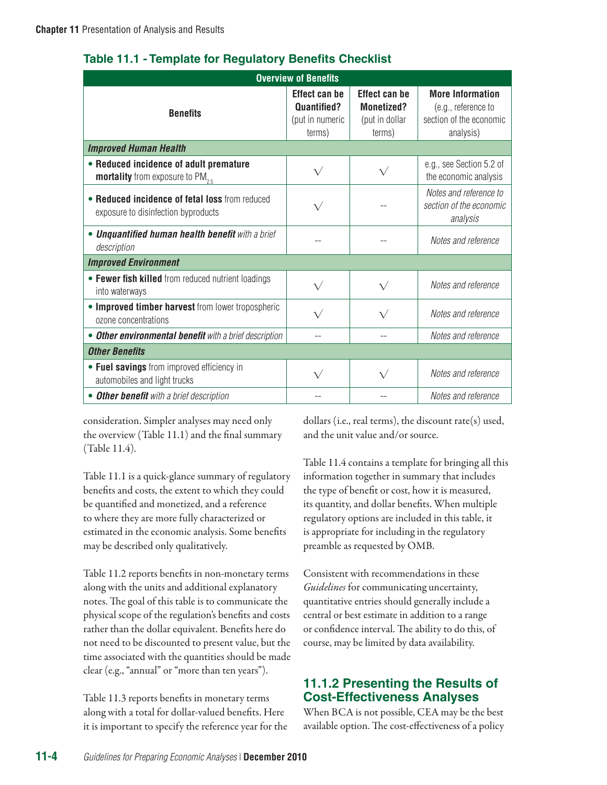| <b>Overview of Benefits</b>                                                            |                                                                         |                                                                       |                                                                                        |  |  |  |  |  |
|----------------------------------------------------------------------------------------|-------------------------------------------------------------------------|-----------------------------------------------------------------------|----------------------------------------------------------------------------------------|--|--|--|--|--|
| <b>Benefits</b>                                                                        | <b>Effect can be</b><br><b>Quantified?</b><br>(put in numeric<br>terms) | <b>Effect can be</b><br><b>Monetized?</b><br>(put in dollar<br>terms) | <b>More Information</b><br>(e.g., reference to<br>section of the economic<br>analysis) |  |  |  |  |  |
| <b>Improved Human Health</b>                                                           |                                                                         |                                                                       |                                                                                        |  |  |  |  |  |
| • Reduced incidence of adult premature<br><b>mortality</b> from exposure to $PM_{2.5}$ | $\sqrt{}$                                                               | $\sqrt{}$                                                             | e.g., see Section 5.2 of<br>the economic analysis                                      |  |  |  |  |  |
| • Reduced incidence of fetal loss from reduced<br>exposure to disinfection byproducts  | $\sqrt{}$                                                               |                                                                       | Notes and reference to<br>section of the economic<br>analysis                          |  |  |  |  |  |
| • Unquantified human health benefit with a brief<br>description                        |                                                                         |                                                                       | Notes and reference                                                                    |  |  |  |  |  |
| <b>Improved Environment</b>                                                            |                                                                         |                                                                       |                                                                                        |  |  |  |  |  |
| • Fewer fish killed from reduced nutrient loadings<br>into waterways                   | $\sqrt{}$                                                               | $\sqrt{}$                                                             | Notes and reference                                                                    |  |  |  |  |  |
| • Improved timber harvest from lower tropospheric<br>ozone concentrations              | $\sqrt{}$                                                               | $\sqrt{}$                                                             | Notes and reference                                                                    |  |  |  |  |  |
| • Other environmental benefit with a brief description                                 |                                                                         | --                                                                    | Notes and reference                                                                    |  |  |  |  |  |
| <b>Other Benefits</b>                                                                  |                                                                         |                                                                       |                                                                                        |  |  |  |  |  |
| • Fuel savings from improved efficiency in<br>automobiles and light trucks             |                                                                         | $\sqrt{}$                                                             | Notes and reference                                                                    |  |  |  |  |  |
| • Other benefit with a brief description                                               |                                                                         |                                                                       | Notes and reference                                                                    |  |  |  |  |  |

#### **Table 11.1 - Template for Regulatory Benefits Checklist**

consideration. Simpler analyses may need only the overview (Table 11.1) and the final summary (Table 11.4).

Table 11.1 is a quick-glance summary of regulatory benefits and costs, the extent to which they could be quantified and monetized, and a reference to where they are more fully characterized or estimated in the economic analysis. Some benefits may be described only qualitatively.

Table 11.2 reports benefits in non-monetary terms along with the units and additional explanatory notes. The goal of this table is to communicate the physical scope of the regulation's benefits and costs rather than the dollar equivalent. Benefits here do not need to be discounted to present value, but the time associated with the quantities should be made clear (e.g., "annual" or "more than ten years").

Table 11.3 reports benefits in monetary terms along with a total for dollar-valued benefits. Here it is important to specify the reference year for the dollars (i.e., real terms), the discount rate(s) used, and the unit value and/or source.

Table 11.4 contains a template for bringing all this information together in summary that includes the type of benefit or cost, how it is measured, its quantity, and dollar benefits. When multiple regulatory options are included in this table, it is appropriate for including in the regulatory preamble as requested by OMB.

Consistent with recommendations in these *Guidelines* for communicating uncertainty, quantitative entries should generally include a central or best estimate in addition to a range or confidence interval. The ability to do this, of course, may be limited by data availability.

## **11.1.2 Presenting the Results of Cost-Effectiveness Analyses**

When BCA is not possible, CEA may be the best available option. The cost-effectiveness of a policy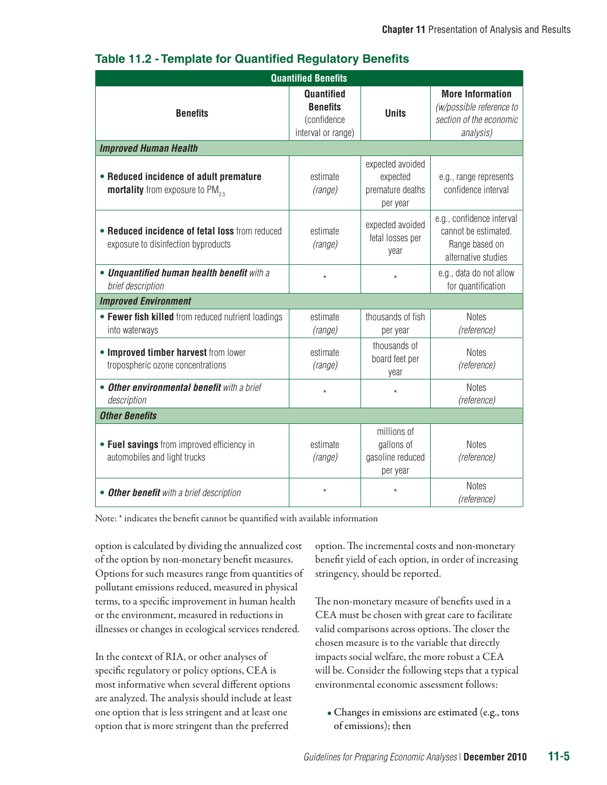| <b>Quantified Benefits</b>                                                            |                                                                           |                                                              |                                                                                             |  |  |  |
|---------------------------------------------------------------------------------------|---------------------------------------------------------------------------|--------------------------------------------------------------|---------------------------------------------------------------------------------------------|--|--|--|
| <b>Benefits</b>                                                                       | <b>Quantified</b><br><b>Benefits</b><br>(confidence<br>interval or range) | <b>Units</b>                                                 | <b>More Information</b><br>(w/possible reference to<br>section of the economic<br>analysis) |  |  |  |
| <b>Improved Human Health</b>                                                          |                                                                           |                                                              |                                                                                             |  |  |  |
| • Reduced incidence of adult premature<br><b>mortality</b> from exposure to $PM_{25}$ | estimate<br>(range)                                                       | expected avoided<br>expected<br>premature deaths<br>per year |                                                                                             |  |  |  |
| • Reduced incidence of fetal loss from reduced<br>exposure to disinfection byproducts | estimate<br>(range)                                                       | expected avoided<br>fetal losses per<br>year                 | e.g., confidence interval<br>cannot be estimated.<br>Range based on<br>alternative studies  |  |  |  |
| • Unquantified human health benefit with a<br>brief description                       | $\star$<br>$\star$                                                        |                                                              | e.g., data do not allow<br>for quantification                                               |  |  |  |
| <b>Improved Environment</b>                                                           |                                                                           |                                                              |                                                                                             |  |  |  |
| • Fewer fish killed from reduced nutrient loadings<br>into waterways                  | estimate<br>(range)                                                       | thousands of fish<br>per year                                | <b>Notes</b><br>(reference)                                                                 |  |  |  |
| • Improved timber harvest from lower<br>tropospheric ozone concentrations             | estimate<br>(range)                                                       | thousands of<br>board feet per<br>year                       | <b>Notes</b><br>(reference)                                                                 |  |  |  |
| • Other environmental benefit with a brief<br>description                             | $\star$                                                                   | $\star$                                                      | <b>Notes</b><br>(reference)                                                                 |  |  |  |
| <b>Other Benefits</b>                                                                 |                                                                           |                                                              |                                                                                             |  |  |  |
| • Fuel savings from improved efficiency in<br>automobiles and light trucks            | estimate<br>(range)                                                       | millions of<br>gallons of<br>gasoline reduced<br>per year    | <b>Notes</b><br>(reference)                                                                 |  |  |  |
| • Other benefit with a brief description                                              | $^{\star}$                                                                | $\star$                                                      | <b>Notes</b><br>(reference)                                                                 |  |  |  |

## **Table 11.2 - Template for Quantified Regulatory Benefits**

Note: \* indicates the benefit cannot be quantified with available information

option is calculated by dividing the annualized cost of the option by non-monetary benefit measures. Options for such measures range from quantities of pollutant emissions reduced, measured in physical terms, to a specific improvement in human health or the environment, measured in reductions in illnesses or changes in ecological services rendered.

In the context of RIA, or other analyses of specific regulatory or policy options, CEA is most informative when several different options are analyzed. The analysis should include at least one option that is less stringent and at least one option that is more stringent than the preferred

option. The incremental costs and non-monetary benefit yield of each option, in order of increasing stringency, should be reported.

The non-monetary measure of benefits used in a CEA must be chosen with great care to facilitate valid comparisons across options. The closer the chosen measure is to the variable that directly impacts social welfare, the more robust a CEA will be. Consider the following steps that a typical environmental economic assessment follows:

• Changes in emissions are estimated (e.g., tons of emissions); then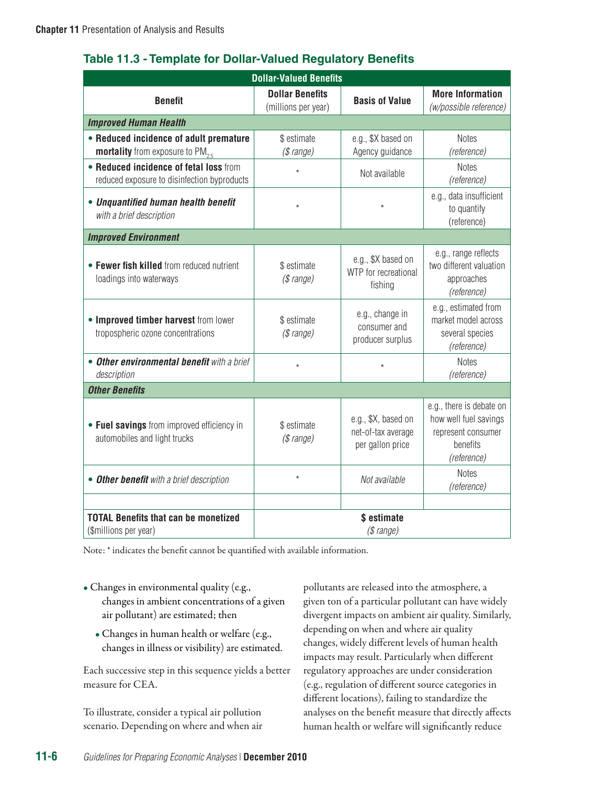| Table 11.3 - Template for Dollar-Valued Regulatory Benefits |  |  |  |
|-------------------------------------------------------------|--|--|--|
|-------------------------------------------------------------|--|--|--|

| <b>Dollar-Valued Benefits</b>                                                          |                                               |                                                               |                                                                                                    |  |  |  |
|----------------------------------------------------------------------------------------|-----------------------------------------------|---------------------------------------------------------------|----------------------------------------------------------------------------------------------------|--|--|--|
| <b>Benefit</b>                                                                         | <b>Dollar Benefits</b><br>(millions per year) | <b>Basis of Value</b>                                         | <b>More Information</b><br>(w/possible reference)                                                  |  |  |  |
| <b>Improved Human Health</b>                                                           |                                               |                                                               |                                                                                                    |  |  |  |
| • Reduced incidence of adult premature<br><b>mortality</b> from exposure to $PM_{2.5}$ | \$ estimate<br>(\$range)                      | e.g., \$X based on<br>Agency guidance                         | <b>Notes</b><br>(reference)                                                                        |  |  |  |
| • Reduced incidence of fetal loss from<br>reduced exposure to disinfection byproducts  | $\star$                                       | Not available                                                 | <b>Notes</b><br>(reference)                                                                        |  |  |  |
| • Unquantified human health benefit<br>with a brief description                        | $\star$                                       | $\star$                                                       | e.g., data insufficient<br>to quantify<br>(reference)                                              |  |  |  |
| <b>Improved Environment</b>                                                            |                                               |                                                               |                                                                                                    |  |  |  |
| • Fewer fish killed from reduced nutrient<br>loadings into waterways                   | \$ estimate<br>(\$range)                      | e.g., \$X based on<br>WTP for recreational<br>fishing         | e.g., range reflects<br>two different valuation<br>approaches<br>(reference)                       |  |  |  |
| • Improved timber harvest from lower<br>tropospheric ozone concentrations              | \$ estimate<br>(\$range)                      | e.g., change in<br>consumer and<br>producer surplus           | e.g., estimated from<br>market model across<br>several species<br>(reference)                      |  |  |  |
| • Other environmental benefit with a brief<br>description                              | $\star$                                       | $\star$                                                       | <b>Notes</b><br>(reference)                                                                        |  |  |  |
| <b>Other Benefits</b>                                                                  |                                               |                                                               |                                                                                                    |  |  |  |
| • Fuel savings from improved efficiency in<br>automobiles and light trucks             | \$ estimate<br>(\$range)                      | e.g., \$X, based on<br>net-of-tax average<br>per gallon price | e.g., there is debate on<br>how well fuel savings<br>represent consumer<br>benefits<br>(reference) |  |  |  |
| • Other benefit with a brief description                                               | $\star$                                       | Not available                                                 | <b>Notes</b><br>(reference)                                                                        |  |  |  |
|                                                                                        |                                               |                                                               |                                                                                                    |  |  |  |
| <b>TOTAL Benefits that can be monetized</b><br>(\$millions per year)                   | \$ estimate<br>(\$ range)                     |                                                               |                                                                                                    |  |  |  |

Note: \* indicates the benefit cannot be quantified with available information.

- Changes in environmental quality (e.g., changes in ambient concentrations of a given air pollutant) are estimated; then
	- Changes in human health or welfare (e.g., changes in illness or visibility) are estimated.

Each successive step in this sequence yields a better measure for CEA.

To illustrate, consider a typical air pollution scenario. Depending on where and when air pollutants are released into the atmosphere, a given ton of a particular pollutant can have widely divergent impacts on ambient air quality. Similarly, depending on when and where air quality changes, widely different levels of human health impacts may result. Particularly when different regulatory approaches are under consideration (e.g., regulation of different source categories in different locations), failing to standardize the analyses on the benefit measure that directly affects human health or welfare will significantly reduce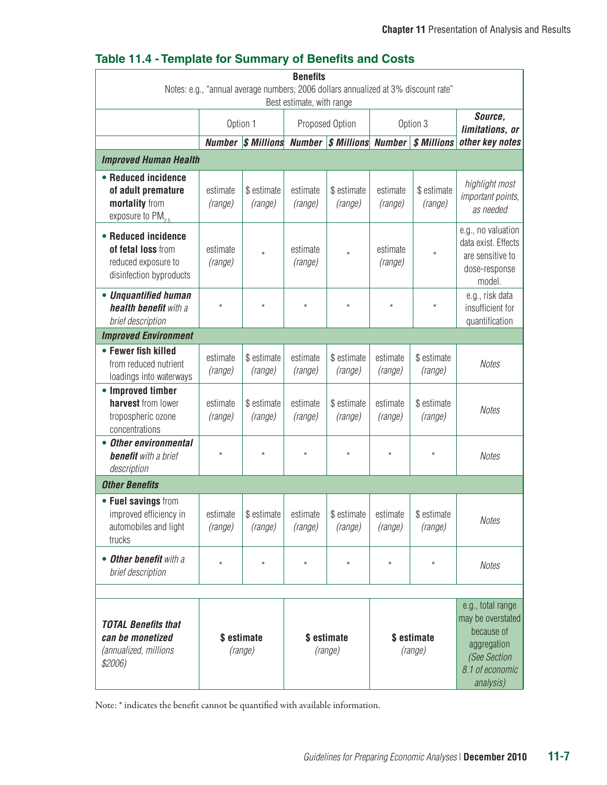## **Table 11.4 - Template for Summary of Benefits and Costs**

| <b>Benefits</b>                                                                                                 |                     |                                             |                     |                        |                     |                        |                                                                                                                     |
|-----------------------------------------------------------------------------------------------------------------|---------------------|---------------------------------------------|---------------------|------------------------|---------------------|------------------------|---------------------------------------------------------------------------------------------------------------------|
| Notes: e.g., "annual average numbers; 2006 dollars annualized at 3% discount rate"<br>Best estimate, with range |                     |                                             |                     |                        |                     |                        |                                                                                                                     |
|                                                                                                                 |                     | Option 1                                    |                     | Proposed Option        | Option 3            |                        | Source,<br>limitations, or                                                                                          |
|                                                                                                                 | <b>Number</b>       | $ \$$ Millions Number $ \$$ Millions Number |                     |                        |                     | \$ Millions            | other key notes                                                                                                     |
| <b>Improved Human Health</b>                                                                                    |                     |                                             |                     |                        |                     |                        |                                                                                                                     |
| • Reduced incidence<br>of adult premature<br>mortality from<br>exposure to $PM_{2.5}$                           | estimate<br>(range) | \$ estimate<br>(range)                      | estimate<br>(range) | \$ estimate<br>(range) | estimate<br>(range) | \$ estimate<br>(range) | highlight most<br>important points,<br>as needed                                                                    |
| • Reduced incidence<br>of fetal loss from<br>reduced exposure to<br>disinfection byproducts                     | estimate<br>(range) | $\star$                                     | estimate<br>(range) | $^{\star}$             | estimate<br>(range) | $\star$                | e.g., no valuation<br>data exist. Effects<br>are sensitive to<br>dose-response<br>model.                            |
| • Unguantified human<br>health benefit with a<br>brief description                                              | $\star$             | $\star$                                     | $\star$             | $\star$                | $\star$             | $\star$                | e.g., risk data<br>insufficient for<br>quantification                                                               |
| <b>Improved Environment</b>                                                                                     |                     |                                             |                     |                        |                     |                        |                                                                                                                     |
| • Fewer fish killed<br>from reduced nutrient<br>loadings into waterways                                         | estimate<br>(range) | \$ estimate<br>(range)                      | estimate<br>(range) | \$ estimate<br>(range) | estimate<br>(range) | \$ estimate<br>(range) | <b>Notes</b>                                                                                                        |
| • Improved timber<br>harvest from lower<br>tropospheric ozone<br>concentrations                                 | estimate<br>(range) | \$ estimate<br>(range)                      | estimate<br>(range) | \$ estimate<br>(range) | estimate<br>(range) | \$ estimate<br>(range) | <b>Notes</b>                                                                                                        |
| <b>Other environmental</b><br><b>benefit</b> with a brief<br>description                                        | $^\star$            | $^\star$                                    | $^{\star}$          | $^\star$               | $^\star$            | $^{\star}$             | <b>Notes</b>                                                                                                        |
| <b>Other Benefits</b>                                                                                           |                     |                                             |                     |                        |                     |                        |                                                                                                                     |
| • Fuel savings from<br>improved efficiency in<br>automobiles and light<br>trucks                                | estimate<br>(range) | \$ estimate<br>(range)                      | estimate<br>(range) | \$ estimate<br>(range) | estimate<br>(range) | \$ estimate<br>(range) | Notes                                                                                                               |
| <b>Other benefit with a</b><br>brief description                                                                | $^\star$            | $^\star$                                    | $^\star$            | $^\star$               | $^\star$            | $^{\star}$             | <b>Notes</b>                                                                                                        |
| <b>TOTAL Benefits that</b><br>can be monetized<br>(annualized, millions<br>\$2006)                              |                     | \$estimate<br>(range)                       |                     | \$ estimate<br>(range) |                     | \$ estimate<br>(range) | e.g., total range<br>may be overstated<br>because of<br>aggregation<br>(See Section<br>8.1 of economic<br>analysis) |

Note: \* indicates the benefit cannot be quantified with available information.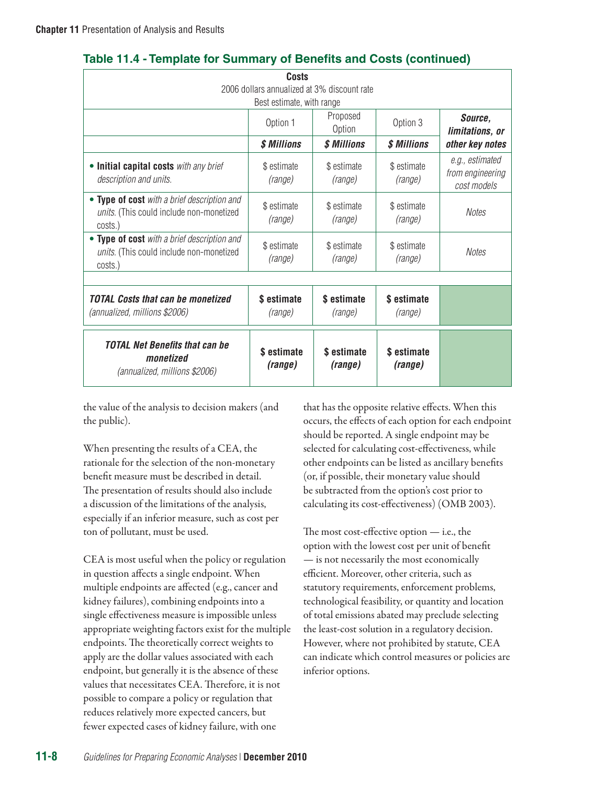|                                                                                                    | Costs                     |                        |                        |                                                    |  |  |
|----------------------------------------------------------------------------------------------------|---------------------------|------------------------|------------------------|----------------------------------------------------|--|--|
| 2006 dollars annualized at 3% discount rate                                                        |                           |                        |                        |                                                    |  |  |
|                                                                                                    | Best estimate, with range |                        |                        |                                                    |  |  |
|                                                                                                    | Option 1                  | Proposed<br>Option     |                        | Source,<br>limitations, or                         |  |  |
|                                                                                                    | \$ Millions               | \$ Millions            | \$ Millions            | other key notes                                    |  |  |
| • Initial capital costs with any brief<br>description and units.                                   | \$ estimate<br>(range)    | \$ estimate<br>(range) | \$ estimate<br>(range) | e.g., estimated<br>from engineering<br>cost models |  |  |
| • Type of cost with a brief description and<br>units. (This could include non-monetized<br>costs.) | \$ estimate<br>(range)    | \$ estimate<br>(range) | \$ estimate<br>(range) | <b>Notes</b>                                       |  |  |
| • Type of cost with a brief description and<br>units. (This could include non-monetized<br>costs.) | \$ estimate<br>(range)    | \$ estimate<br>(range) | \$ estimate<br>(range) | <b>Notes</b>                                       |  |  |
|                                                                                                    |                           |                        |                        |                                                    |  |  |
| <b>TOTAL Costs that can be monetized</b><br>(annualized, millions \$2006)                          | \$ estimate<br>(range)    | \$estimate<br>(range)  | \$ estimate<br>(range) |                                                    |  |  |
| <b>TOTAL Net Benefits that can be</b><br>monetized<br>(annualized, millions \$2006)                | \$ estimate<br>(range)    | \$ estimate<br>(range) | \$ estimate<br>(range) |                                                    |  |  |

## **Table 11.4 - Template for Summary of Benefits and Costs (continued)**

the value of the analysis to decision makers (and the public).

When presenting the results of a CEA, the rationale for the selection of the non-monetary benefit measure must be described in detail. The presentation of results should also include a discussion of the limitations of the analysis, especially if an inferior measure, such as cost per ton of pollutant, must be used.

CEA is most useful when the policy or regulation in question affects a single endpoint. When multiple endpoints are affected (e.g., cancer and kidney failures), combining endpoints into a single effectiveness measure is impossible unless appropriate weighting factors exist for the multiple endpoints. The theoretically correct weights to apply are the dollar values associated with each endpoint, but generally it is the absence of these values that necessitates CEA. Therefore, it is not possible to compare a policy or regulation that reduces relatively more expected cancers, but fewer expected cases of kidney failure, with one

that has the opposite relative effects. When this occurs, the effects of each option for each endpoint should be reported. A single endpoint may be selected for calculating cost-effectiveness, while other endpoints can be listed as ancillary benefits (or, if possible, their monetary value should be subtracted from the option's cost prior to calculating its cost-effectiveness) (OMB 2003).

The most cost-effective option — i.e., the option with the lowest cost per unit of benefit — is not necessarily the most economically efficient. Moreover, other criteria, such as statutory requirements, enforcement problems, technological feasibility, or quantity and location of total emissions abated may preclude selecting the least-cost solution in a regulatory decision. However, where not prohibited by statute, CEA can indicate which control measures or policies are inferior options.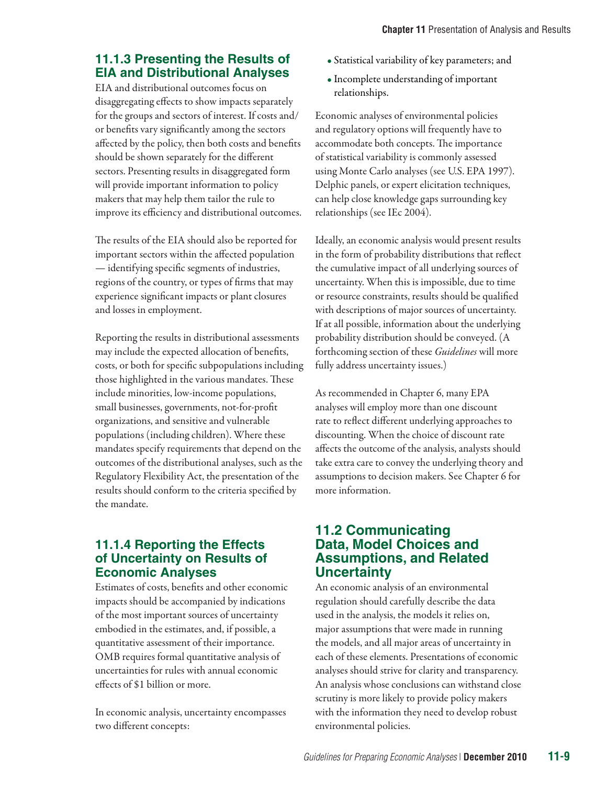## **11.1.3 Presenting the Results of EIA and Distributional Analyses**

EIA and distributional outcomes focus on disaggregating effects to show impacts separately for the groups and sectors of interest. If costs and/ or benefits vary significantly among the sectors affected by the policy, then both costs and benefits should be shown separately for the different sectors. Presenting results in disaggregated form will provide important information to policy makers that may help them tailor the rule to improve its efficiency and distributional outcomes.

The results of the EIA should also be reported for important sectors within the affected population — identifying specific segments of industries, regions of the country, or types of firms that may experience significant impacts or plant closures and losses in employment.

Reporting the results in distributional assessments may include the expected allocation of benefits, costs, or both for specific subpopulations including those highlighted in the various mandates. These include minorities, low-income populations, small businesses, governments, not-for-profit organizations, and sensitive and vulnerable populations (including children). Where these mandates specify requirements that depend on the outcomes of the distributional analyses, such as the Regulatory Flexibility Act, the presentation of the results should conform to the criteria specified by the mandate.

## **11.1.4 Reporting the Effects of Uncertainty on Results of Economic Analyses**

Estimates of costs, benefits and other economic impacts should be accompanied by indications of the most important sources of uncertainty embodied in the estimates, and, if possible, a quantitative assessment of their importance. OMB requires formal quantitative analysis of uncertainties for rules with annual economic effects of \$1 billion or more.

In economic analysis, uncertainty encompasses two different concepts:

- Statistical variability of key parameters; and
- Incomplete understanding of important relationships.

Economic analyses of environmental policies and regulatory options will frequently have to accommodate both concepts. The importance of statistical variability is commonly assessed using Monte Carlo analyses (see U.S. EPA 1997). Delphic panels, or expert elicitation techniques, can help close knowledge gaps surrounding key relationships (see IEc 2004).

Ideally, an economic analysis would present results in the form of probability distributions that reflect the cumulative impact of all underlying sources of uncertainty. When this is impossible, due to time or resource constraints, results should be qualified with descriptions of major sources of uncertainty. If at all possible, information about the underlying probability distribution should be conveyed. (A forthcoming section of these *Guidelines* will more fully address uncertainty issues.)

As recommended in Chapter 6, many EPA analyses will employ more than one discount rate to reflect different underlying approaches to discounting. When the choice of discount rate affects the outcome of the analysis, analysts should take extra care to convey the underlying theory and assumptions to decision makers. See Chapter 6 for more information.

## **11.2 Communicating Data, Model Choices and Assumptions, and Related Uncertainty**

An economic analysis of an environmental regulation should carefully describe the data used in the analysis, the models it relies on, major assumptions that were made in running the models, and all major areas of uncertainty in each of these elements. Presentations of economic analyses should strive for clarity and transparency. An analysis whose conclusions can withstand close scrutiny is more likely to provide policy makers with the information they need to develop robust environmental policies.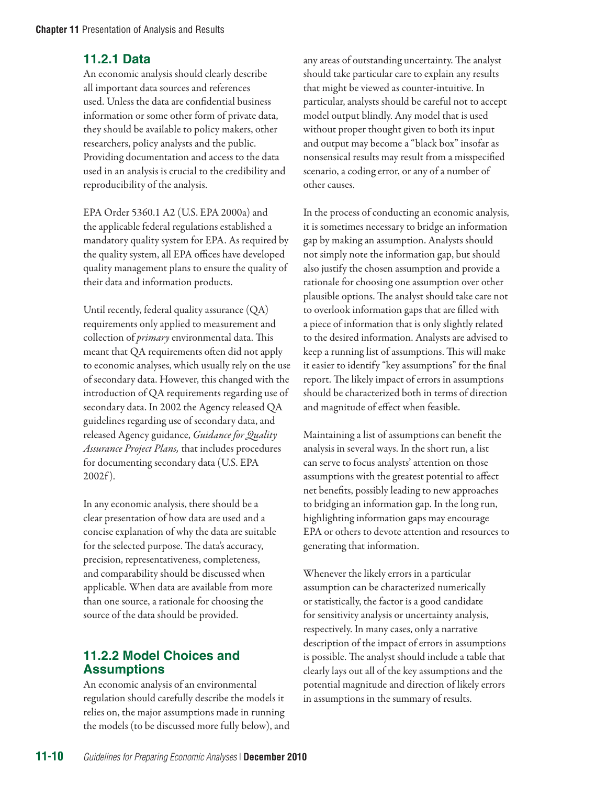## **11.2.1 Data**

An economic analysis should clearly describe all important data sources and references used. Unless the data are confidential business information or some other form of private data, they should be available to policy makers, other researchers, policy analysts and the public. Providing documentation and access to the data used in an analysis is crucial to the credibility and reproducibility of the analysis.

EPA Order 5360.1 A2 (U.S. EPA 2000a) and the applicable federal regulations established a mandatory quality system for EPA. As required by the quality system, all EPA offices have developed quality management plans to ensure the quality of their data and information products.

Until recently, federal quality assurance (QA) requirements only applied to measurement and collection of *primary* environmental data. This meant that QA requirements often did not apply to economic analyses, which usually rely on the use of secondary data. However, this changed with the introduction of QA requirements regarding use of secondary data. In 2002 the Agency released QA guidelines regarding use of secondary data, and released Agency guidance, *Guidance for Quality Assurance Project Plans,* that includes procedures for documenting secondary data (U.S. EPA 2002f ).

In any economic analysis, there should be a clear presentation of how data are used and a concise explanation of why the data are suitable for the selected purpose. The data's accuracy, precision, representativeness, completeness, and comparability should be discussed when applicable*.* When data are available from more than one source, a rationale for choosing the source of the data should be provided.

## **11.2.2 Model Choices and Assumptions**

An economic analysis of an environmental regulation should carefully describe the models it relies on, the major assumptions made in running the models (to be discussed more fully below), and any areas of outstanding uncertainty. The analyst should take particular care to explain any results that might be viewed as counter-intuitive. In particular, analysts should be careful not to accept model output blindly. Any model that is used without proper thought given to both its input and output may become a "black box" insofar as nonsensical results may result from a misspecified scenario, a coding error, or any of a number of other causes.

In the process of conducting an economic analysis, it is sometimes necessary to bridge an information gap by making an assumption. Analysts should not simply note the information gap, but should also justify the chosen assumption and provide a rationale for choosing one assumption over other plausible options. The analyst should take care not to overlook information gaps that are filled with a piece of information that is only slightly related to the desired information. Analysts are advised to keep a running list of assumptions. This will make it easier to identify "key assumptions" for the final report. The likely impact of errors in assumptions should be characterized both in terms of direction and magnitude of effect when feasible.

Maintaining a list of assumptions can benefit the analysis in several ways. In the short run, a list can serve to focus analysts' attention on those assumptions with the greatest potential to affect net benefits, possibly leading to new approaches to bridging an information gap. In the long run, highlighting information gaps may encourage EPA or others to devote attention and resources to generating that information.

Whenever the likely errors in a particular assumption can be characterized numerically or statistically, the factor is a good candidate for sensitivity analysis or uncertainty analysis, respectively. In many cases, only a narrative description of the impact of errors in assumptions is possible. The analyst should include a table that clearly lays out all of the key assumptions and the potential magnitude and direction of likely errors in assumptions in the summary of results.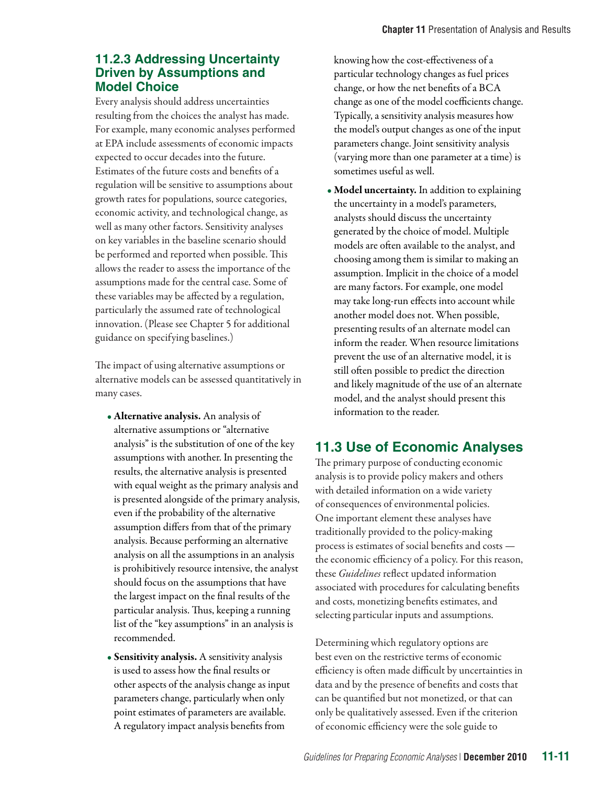## **11.2.3 Addressing Uncertainty Driven by Assumptions and Model Choice**

Every analysis should address uncertainties resulting from the choices the analyst has made. For example, many economic analyses performed at EPA include assessments of economic impacts expected to occur decades into the future. Estimates of the future costs and benefits of a regulation will be sensitive to assumptions about growth rates for populations, source categories, economic activity, and technological change, as well as many other factors. Sensitivity analyses on key variables in the baseline scenario should be performed and reported when possible. This allows the reader to assess the importance of the assumptions made for the central case. Some of these variables may be affected by a regulation, particularly the assumed rate of technological innovation. (Please see Chapter 5 for additional guidance on specifying baselines.)

The impact of using alternative assumptions or alternative models can be assessed quantitatively in many cases.

- Alternative analysis. An analysis of alternative assumptions or "alternative analysis" is the substitution of one of the key assumptions with another. In presenting the results, the alternative analysis is presented with equal weight as the primary analysis and is presented alongside of the primary analysis, even if the probability of the alternative assumption differs from that of the primary analysis. Because performing an alternative analysis on all the assumptions in an analysis is prohibitively resource intensive, the analyst should focus on the assumptions that have the largest impact on the final results of the particular analysis. Thus, keeping a running list of the "key assumptions" in an analysis is recommended.
- Sensitivity analysis. A sensitivity analysis is used to assess how the final results or other aspects of the analysis change as input parameters change, particularly when only point estimates of parameters are available. A regulatory impact analysis benefits from

knowing how the cost-effectiveness of a particular technology changes as fuel prices change, or how the net benefits of a BCA change as one of the model coefficients change. Typically, a sensitivity analysis measures how the model's output changes as one of the input parameters change. Joint sensitivity analysis (varying more than one parameter at a time) is sometimes useful as well.

• Model uncertainty. In addition to explaining the uncertainty in a model's parameters, analysts should discuss the uncertainty generated by the choice of model. Multiple models are often available to the analyst, and choosing among them is similar to making an assumption. Implicit in the choice of a model are many factors. For example, one model may take long-run effects into account while another model does not. When possible, presenting results of an alternate model can inform the reader. When resource limitations prevent the use of an alternative model, it is still often possible to predict the direction and likely magnitude of the use of an alternate model, and the analyst should present this information to the reader.

## **11.3 Use of Economic Analyses**

The primary purpose of conducting economic analysis is to provide policy makers and others with detailed information on a wide variety of consequences of environmental policies. One important element these analyses have traditionally provided to the policy-making process is estimates of social benefits and costs the economic efficiency of a policy. For this reason, these *Guidelines* reflect updated information associated with procedures for calculating benefits and costs, monetizing benefits estimates, and selecting particular inputs and assumptions.

Determining which regulatory options are best even on the restrictive terms of economic efficiency is often made difficult by uncertainties in data and by the presence of benefits and costs that can be quantified but not monetized, or that can only be qualitatively assessed. Even if the criterion of economic efficiency were the sole guide to